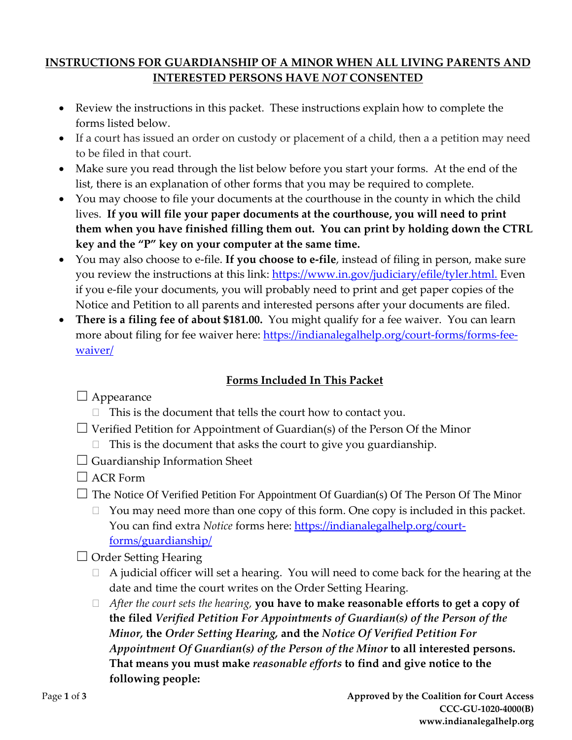# **INSTRUCTIONS FOR GUARDIANSHIP OF A MINOR WHEN ALL LIVING PARENTS AND INTERESTED PERSONS HAVE** *NOT* **CONSENTED**

- Review the instructions in this packet. These instructions explain how to complete the forms listed below.
- If a court has issued an order on custody or placement of a child, then a a petition may need to be filed in that court.
- Make sure you read through the list below before you start your forms. At the end of the list, there is an explanation of other forms that you may be required to complete.
- You may choose to file your documents at the courthouse in the county in which the child lives. **If you will file your paper documents at the courthouse, you will need to print them when you have finished filling them out. You can print by holding down the CTRL key and the "P" key on your computer at the same time.**
- You may also choose to e-file. **If you choose to e-file**, instead of filing in person, make sure you review the instructions at this link: [https://www.in.gov/judiciary/efile/tyler.html.](https://www.in.gov/judiciary/efile/tyler.html) Even if you e-file your documents, you will probably need to print and get paper copies of the Notice and Petition to all parents and interested persons after your documents are filed.
- **There is a filing fee of about \$181.00.** You might qualify for a fee waiver. You can learn more about filing for fee waiver here: [https://indianalegalhelp.org/court-forms/forms-fee](https://indianalegalhelp.org/court-forms/forms-fee-waiver/)[waiver/](https://indianalegalhelp.org/court-forms/forms-fee-waiver/)

# **Forms Included In This Packet**

# $\Box$  Appearance

- $\Box$  This is the document that tells the court how to contact you.
- $\Box$  Verified Petition for Appointment of Guardian(s) of the Person Of the Minor
	- $\Box$  This is the document that asks the court to give you guardianship.
- $\Box$  Guardianship Information Sheet
- $\Box$  ACR Form
- $\Box$  The Notice Of Verified Petition For Appointment Of Guardian(s) Of The Person Of The Minor
	- $\Box$  You may need more than one copy of this form. One copy is included in this packet. You can find extra *Notice* forms here: [https://indianalegalhelp.org/court](https://indianalegalhelp.org/court-forms/guardianship/)[forms/guardianship/](https://indianalegalhelp.org/court-forms/guardianship/)
- $\Box$  Order Setting Hearing
	- $\Box$  A judicial officer will set a hearing. You will need to come back for the hearing at the date and time the court writes on the Order Setting Hearing.
	- *After the court sets the hearing,* **you have to make reasonable efforts to get a copy of the filed** *Verified Petition For Appointments of Guardian(s) of the Person of the Minor,* **the** *Order Setting Hearing,* **and the** *Notice Of Verified Petition For Appointment Of Guardian(s) of the Person of the Minor* **to all interested persons. That means you must make** *reasonable efforts* **to find and give notice to the following people:**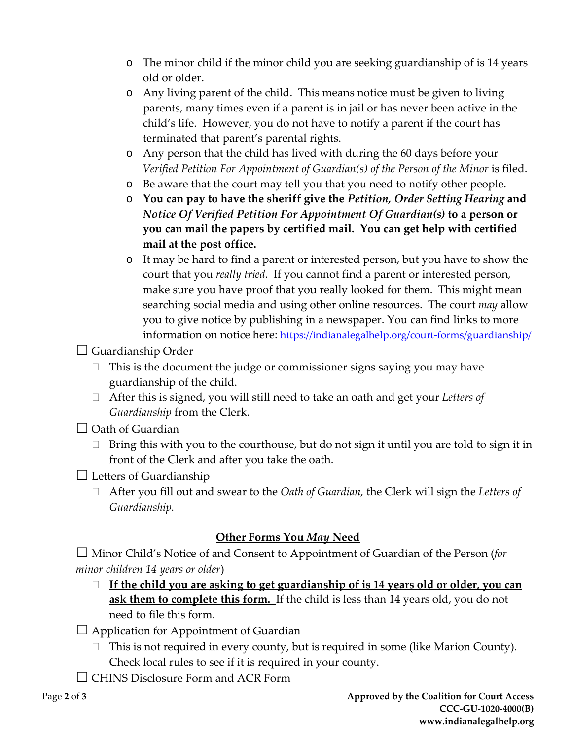- o The minor child if the minor child you are seeking guardianship of is 14 years old or older.
- o Any living parent of the child. This means notice must be given to living parents, many times even if a parent is in jail or has never been active in the child's life. However, you do not have to notify a parent if the court has terminated that parent's parental rights.
- o Any person that the child has lived with during the 60 days before your *Verified Petition For Appointment of Guardian(s) of the Person of the Minor is filed.*
- o Be aware that the court may tell you that you need to notify other people.
- o **You can pay to have the sheriff give the** *Petition, Order Setting Hearing* **and** *Notice Of Verified Petition For Appointment Of Guardian(s)* **to a person or you can mail the papers by certified mail. You can get help with certified mail at the post office.**
- o It may be hard to find a parent or interested person, but you have to show the court that you *really tried*. If you cannot find a parent or interested person, make sure you have proof that you really looked for them. This might mean searching social media and using other online resources. The court *may* allow you to give notice by publishing in a newspaper. You can find links to more information on notice here:<https://indianalegalhelp.org/court-forms/guardianship/>
- $\Box$  Guardianship Order
	- $\Box$  This is the document the judge or commissioner signs saying you may have guardianship of the child.
	- After this is signed, you will still need to take an oath and get your *Letters of Guardianship* from the Clerk.
- $\Box$  Oath of Guardian
	- $\Box$  Bring this with you to the courthouse, but do not sign it until you are told to sign it in front of the Clerk and after you take the oath.
- $\Box$  Letters of Guardianship
	- After you fill out and swear to the *Oath of Guardian,* the Clerk will sign the *Letters of Guardianship.*

## **Other Forms You** *May* **Need**

☐ Minor Child's Notice of and Consent to Appointment of Guardian of the Person (*for minor children 14 years or older*)

- **If the child you are asking to get guardianship of is 14 years old or older, you can ask them to complete this form.** If the child is less than 14 years old, you do not need to file this form.
- $\Box$  Application for Appointment of Guardian
	- $\Box$  This is not required in every county, but is required in some (like Marion County). Check local rules to see if it is required in your county.
- □ CHINS Disclosure Form and ACR Form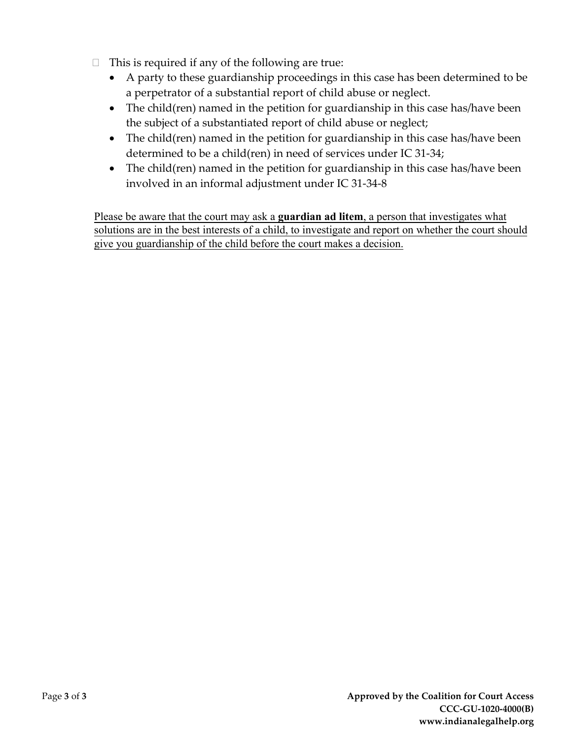- $\Box$  This is required if any of the following are true:
	- A party to these guardianship proceedings in this case has been determined to be a perpetrator of a substantial report of child abuse or neglect.
	- The child(ren) named in the petition for guardianship in this case has/have been the subject of a substantiated report of child abuse or neglect;
	- The child(ren) named in the petition for guardianship in this case has/have been determined to be a child(ren) in need of services under IC 31-34;
	- The child(ren) named in the petition for guardianship in this case has/have been involved in an informal adjustment under IC 31-34-8

Please be aware that the court may ask a **guardian ad litem**, a person that investigates what solutions are in the best interests of a child, to investigate and report on whether the court should give you guardianship of the child before the court makes a decision.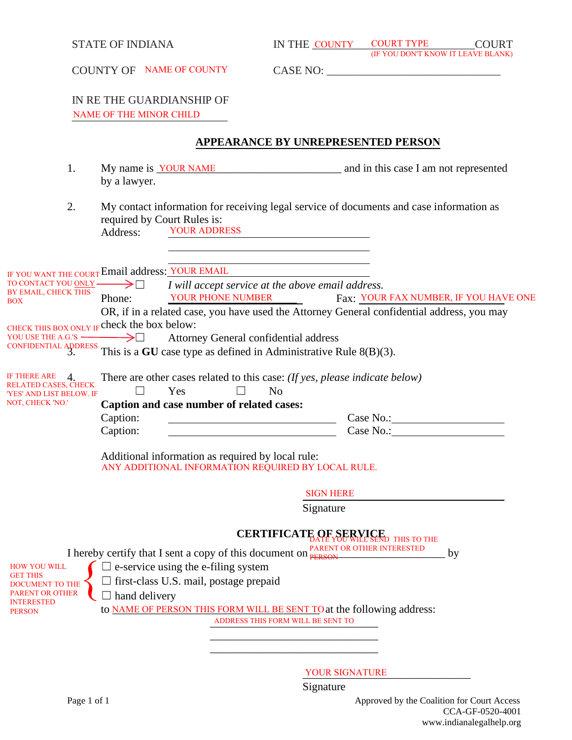| <b>STATE OF INDIANA</b>                                        | IN THE COUNTY COURT TYPE                                                                                                                                                                                                                                                                     | <b>COURT</b><br><b>(IF YOU DON'T KNOW IT LEAVE BLANK)</b>                                                                                                                                                                                                                                                                                                                                                                                                                                                                                                                                                                                                                                                                                                                                                                                                                                                                                                                                                                                                                                                                                                                                |
|----------------------------------------------------------------|----------------------------------------------------------------------------------------------------------------------------------------------------------------------------------------------------------------------------------------------------------------------------------------------|------------------------------------------------------------------------------------------------------------------------------------------------------------------------------------------------------------------------------------------------------------------------------------------------------------------------------------------------------------------------------------------------------------------------------------------------------------------------------------------------------------------------------------------------------------------------------------------------------------------------------------------------------------------------------------------------------------------------------------------------------------------------------------------------------------------------------------------------------------------------------------------------------------------------------------------------------------------------------------------------------------------------------------------------------------------------------------------------------------------------------------------------------------------------------------------|
|                                                                |                                                                                                                                                                                                                                                                                              |                                                                                                                                                                                                                                                                                                                                                                                                                                                                                                                                                                                                                                                                                                                                                                                                                                                                                                                                                                                                                                                                                                                                                                                          |
|                                                                |                                                                                                                                                                                                                                                                                              |                                                                                                                                                                                                                                                                                                                                                                                                                                                                                                                                                                                                                                                                                                                                                                                                                                                                                                                                                                                                                                                                                                                                                                                          |
|                                                                |                                                                                                                                                                                                                                                                                              |                                                                                                                                                                                                                                                                                                                                                                                                                                                                                                                                                                                                                                                                                                                                                                                                                                                                                                                                                                                                                                                                                                                                                                                          |
| by a lawyer.                                                   |                                                                                                                                                                                                                                                                                              |                                                                                                                                                                                                                                                                                                                                                                                                                                                                                                                                                                                                                                                                                                                                                                                                                                                                                                                                                                                                                                                                                                                                                                                          |
| required by Court Rules is:<br><b>YOUR ADDRESS</b><br>Address: |                                                                                                                                                                                                                                                                                              |                                                                                                                                                                                                                                                                                                                                                                                                                                                                                                                                                                                                                                                                                                                                                                                                                                                                                                                                                                                                                                                                                                                                                                                          |
| Phone:                                                         |                                                                                                                                                                                                                                                                                              | Fax: YOUR FAX NUMBER, IF YOU HAVE ONE                                                                                                                                                                                                                                                                                                                                                                                                                                                                                                                                                                                                                                                                                                                                                                                                                                                                                                                                                                                                                                                                                                                                                    |
|                                                                |                                                                                                                                                                                                                                                                                              |                                                                                                                                                                                                                                                                                                                                                                                                                                                                                                                                                                                                                                                                                                                                                                                                                                                                                                                                                                                                                                                                                                                                                                                          |
| Yes<br>$\Box$                                                  | N <sub>o</sub>                                                                                                                                                                                                                                                                               |                                                                                                                                                                                                                                                                                                                                                                                                                                                                                                                                                                                                                                                                                                                                                                                                                                                                                                                                                                                                                                                                                                                                                                                          |
| Caption:                                                       |                                                                                                                                                                                                                                                                                              |                                                                                                                                                                                                                                                                                                                                                                                                                                                                                                                                                                                                                                                                                                                                                                                                                                                                                                                                                                                                                                                                                                                                                                                          |
|                                                                |                                                                                                                                                                                                                                                                                              |                                                                                                                                                                                                                                                                                                                                                                                                                                                                                                                                                                                                                                                                                                                                                                                                                                                                                                                                                                                                                                                                                                                                                                                          |
|                                                                | <b>SIGN HERE</b>                                                                                                                                                                                                                                                                             |                                                                                                                                                                                                                                                                                                                                                                                                                                                                                                                                                                                                                                                                                                                                                                                                                                                                                                                                                                                                                                                                                                                                                                                          |
|                                                                | Signature                                                                                                                                                                                                                                                                                    |                                                                                                                                                                                                                                                                                                                                                                                                                                                                                                                                                                                                                                                                                                                                                                                                                                                                                                                                                                                                                                                                                                                                                                                          |
|                                                                |                                                                                                                                                                                                                                                                                              | by                                                                                                                                                                                                                                                                                                                                                                                                                                                                                                                                                                                                                                                                                                                                                                                                                                                                                                                                                                                                                                                                                                                                                                                       |
| hand delivery                                                  |                                                                                                                                                                                                                                                                                              |                                                                                                                                                                                                                                                                                                                                                                                                                                                                                                                                                                                                                                                                                                                                                                                                                                                                                                                                                                                                                                                                                                                                                                                          |
|                                                                | <b>COUNTY OF NAME OF COUNTY</b><br>IN RE THE GUARDIANSHIP OF<br>NAME OF THE MINOR CHILD<br>TO CONTACT YOU <u>ONLY</u> ──→<br>BY EMAIL, CHECK THIS<br>CHECK THIS BOX ONLY IF Check the box below:<br>$\longrightarrow$ $\Box$<br>RELATED CASES, CHECK<br>'YES' AND LIST BELOW. IF<br>Caption: | APPEARANCE BY UNREPRESENTED PERSON<br>My name is <u>YOUR NAME</u> and in this case I am not represented<br>My contact information for receiving legal service of documents and case information as<br>IF YOU WANT THE COURT Email address: YOUR EMAIL<br>I will accept service at the above email address.<br>YOUR PHONE NUMBER<br>OR, if in a related case, you have used the Attorney General confidential address, you may<br>Attorney General confidential address<br>CONFIDENTIAL ADDRESS This is a GU case type as defined in Administrative Rule 8(B)(3).<br>There are other cases related to this case: (If yes, please indicate below)<br>Caption and case number of related cases:<br>Case No.:<br>Additional information as required by local rule:<br>ANY ADDITIONAL INFORMATION REQUIRED BY LOCAL RULE.<br>CERTIFICATE OF SERVICE THIS TO THE<br>I hereby certify that I sent a copy of this document on $\frac{\text{PARENT OR OTHER INTERESTED}}{\text{PERSON}}$<br>$\exists$ e-service using the e-filing system<br>first-class U.S. mail, postage prepaid<br>to NAME OF PERSON THIS FORM WILL BE SENT TO at the following address:<br>ADDRESS THIS FORM WILL BE SENT TO |

YOUR SIGNATURE

**Signature**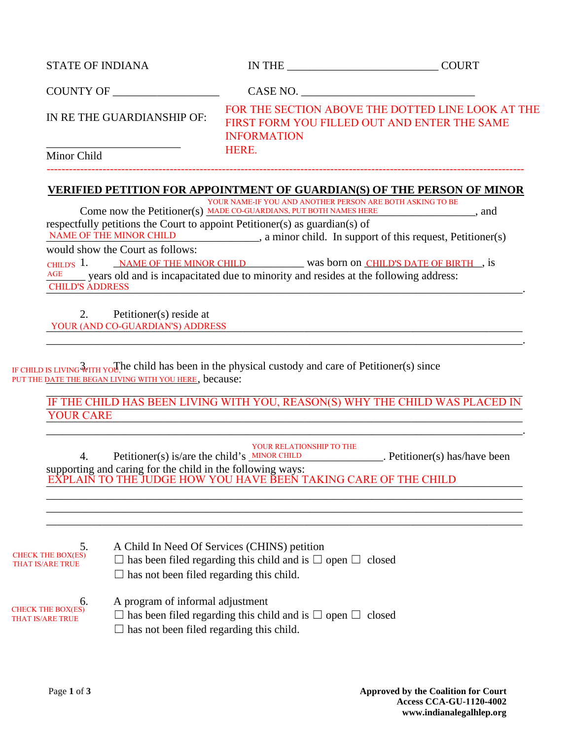| <b>STATE OF INDIANA</b>   | IN THE             | <b>COURT</b>                                                                                      |
|---------------------------|--------------------|---------------------------------------------------------------------------------------------------|
| COUNTY OF                 |                    | CASE NO.                                                                                          |
| IN RETHE GUARDIANSHIP OF: | <b>INFORMATION</b> | FOR THE SECTION ABOVE THE DOTTED LINE LOOK AT THE<br>FIRST FORM YOU FILLED OUT AND ENTER THE SAME |
| Minor Child               | <b>HERE.</b>       |                                                                                                   |
|                           |                    |                                                                                                   |

#### **VERIFIED PETITION FOR APPOINTMENT OF GUARDIAN(S) OF THE PERSON OF MINOR**

Come now the Petitioner(s) MADE CO-GUARDIANS, PUT BOTH NAMES HERE 3. And respectfully petitions the Court to appoint Petitioner(s) as guardian(s) of \_\_\_\_\_\_\_\_\_\_\_\_\_\_\_\_\_\_\_\_\_\_\_\_\_\_\_\_\_\_\_\_\_\_\_\_\_\_, a minor child. In support of this request, Petitioner(s) would show the Court as follows: CHILD'S 1. NAME OF THE MINOR CHILD was born on CHILD'S DATE OF BIRTH, is \_\_\_\_\_\_\_ years old and is incapacitated due to minority and resides at the following address: \_\_\_\_\_\_\_\_\_\_\_\_\_\_\_\_\_\_\_\_\_\_\_\_\_\_\_\_\_\_\_\_\_\_\_\_\_\_\_\_\_\_\_\_\_\_\_\_\_\_\_\_\_\_\_\_\_\_\_\_\_\_\_\_\_\_\_\_\_\_\_\_\_\_\_\_\_\_\_\_\_\_\_\_\_. CHILD'S ADDRESS YOUR NAME-IF YOU AND ANOTHER PERSON ARE BOTH ASKING TO BE NAME OF THE MINOR CHILD AGE

2. Petitioner(s) reside at \_\_\_\_\_\_\_\_\_\_\_\_\_\_\_\_\_\_\_\_\_\_\_\_\_\_\_\_\_\_\_\_\_\_\_\_\_\_\_\_\_\_\_\_\_\_\_\_\_\_\_\_\_\_\_\_\_\_\_\_\_\_\_\_\_\_\_\_\_\_\_\_\_\_\_\_\_\_\_\_\_\_\_\_\_ YOUR (AND CO-GUARDIAN'S) ADDRESS

IF CHILD IS LIVING  $\frac{3}{WITH}$  You, the child has been in the physical custody and care of Petitioner(s) since PUT THE DATE THE BEGAN LIVING WITH YOU HERE, because:

\_\_\_\_\_\_\_\_\_\_\_\_\_\_\_\_\_\_\_\_\_\_\_\_\_\_\_\_\_\_\_\_\_\_\_\_\_\_\_\_\_\_\_\_\_\_\_\_\_\_\_\_\_\_\_\_\_\_\_\_\_\_\_\_\_\_\_\_\_\_\_\_\_\_\_\_\_\_\_\_\_\_\_\_\_ IF THE CHILD HAS BEEN LIVING WITH YOU, REASON(S) WHY THE CHILD WAS PLACED IN <u>YOUR CARE</u> YOUR CARE

\_\_\_\_\_\_\_\_\_\_\_\_\_\_\_\_\_\_\_\_\_\_\_\_\_\_\_\_\_\_\_\_\_\_\_\_\_\_\_\_\_\_\_\_\_\_\_\_\_\_\_\_\_\_\_\_\_\_\_\_\_\_\_\_\_\_\_\_\_\_\_\_\_\_\_\_\_\_\_\_\_\_\_\_\_.

| 4.                                                  | <b>YOUR RELATIONSHIP TO THE</b><br>Petitioner(s) is/are the child's $MINOR CHILD$<br>. Petitioner(s) has/have been            |
|-----------------------------------------------------|-------------------------------------------------------------------------------------------------------------------------------|
|                                                     | supporting and caring for the child in the following ways:<br>EXPLAIN TO THE JUDGE HOW YOU HAVE BEEN TAKING CARE OF THE CHILD |
|                                                     |                                                                                                                               |
|                                                     |                                                                                                                               |
| 5.<br><b>CHECK THE BOX(ES)</b>                      | A Child In Need Of Services (CHINS) petition                                                                                  |
| <b>THAT IS/ARE TRUE</b>                             | $\Box$ has been filed regarding this child and is $\Box$ open $\Box$ closed                                                   |
|                                                     | $\Box$ has not been filed regarding this child.                                                                               |
| 6.                                                  | A program of informal adjustment                                                                                              |
| <b>CHECK THE BOX(ES)</b><br><b>THAT IS/ARE TRUE</b> | $\Box$ has been filed regarding this child and is $\Box$ open $\Box$ closed                                                   |
|                                                     | $\Box$ has not been filed regarding this child.                                                                               |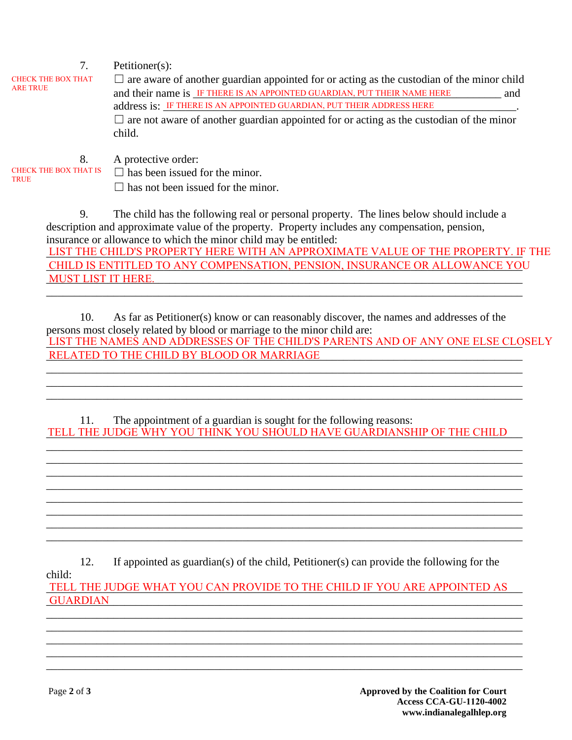| 7.<br><b>CHECK THE BOX THAT</b><br><b>ARE TRUE</b> | Petitioner $(s)$ :<br>$\Box$ are aware of another guardian appointed for or acting as the custodian of the minor child<br>and their name is IF THERE IS AN APPOINTED GUARDIAN, PUT THEIR NAME HERE<br>and<br>address is: IF THERE IS AN APPOINTED GUARDIAN, PUT THEIR ADDRESS HERE<br>$\Box$ are not aware of another guardian appointed for or acting as the custodian of the minor<br>child. |
|----------------------------------------------------|------------------------------------------------------------------------------------------------------------------------------------------------------------------------------------------------------------------------------------------------------------------------------------------------------------------------------------------------------------------------------------------------|
| 8.                                                 | A protective order:                                                                                                                                                                                                                                                                                                                                                                            |

 $\Box$  has not been issued for the minor.

9. The child has the following real or personal property. The lines below should include a description and approximate value of the property. Property includes any compensation, pension, insurance or allowance to which the minor child may be entitled: LIST THE CHILD'S PROPERTY HERE WITH AN APPROXIMATE VALUE OF THE PROPERTY. IF THE \_\_\_\_\_\_\_\_\_\_\_\_\_\_\_\_\_\_\_\_\_\_\_\_\_\_\_\_\_\_\_\_\_\_\_\_\_\_\_\_\_\_\_\_\_\_\_\_\_\_\_\_\_\_\_\_\_\_\_\_\_\_\_\_\_\_\_\_\_\_\_\_\_\_\_\_\_\_\_\_\_\_\_\_\_ MUST LIST IT HERE. CHILD IS ENTITLED TO ANY COMPENSATION, PENSION, INSURANCE OR ALLOWANCE YOU

10. As far as Petitioner(s) know or can reasonably discover, the names and addresses of the persons most closely related by blood or marriage to the minor child are: LIST THE NAMES AND ADDRESSES OF THE CHILD'S PARENTS AND OF ANY ONE ELSE CLOSELY \_\_\_\_\_\_\_\_\_\_\_\_\_\_\_\_\_\_\_\_\_\_\_\_\_\_\_\_\_\_\_\_\_\_\_\_\_\_\_\_\_\_\_\_\_\_\_\_\_\_\_\_\_\_\_\_\_\_\_\_\_\_\_\_\_\_\_\_\_\_\_\_\_\_\_\_\_\_\_\_\_\_\_\_\_ RELATED TO THE CHILD BY BLOOD OR MARRIAGE

\_\_\_\_\_\_\_\_\_\_\_\_\_\_\_\_\_\_\_\_\_\_\_\_\_\_\_\_\_\_\_\_\_\_\_\_\_\_\_\_\_\_\_\_\_\_\_\_\_\_\_\_\_\_\_\_\_\_\_\_\_\_\_\_\_\_\_\_\_\_\_\_\_\_\_\_\_\_\_\_\_\_\_\_\_

11. The appointment of a guardian is sought for the following reasons: TELL THE JUDGE WHY YOU THINK YOU SHOULD HAVE GUARDIANSHIP OF THE CHILD

\_\_\_\_\_\_\_\_\_\_\_\_\_\_\_\_\_\_\_\_\_\_\_\_\_\_\_\_\_\_\_\_\_\_\_\_\_\_\_\_\_\_\_\_\_\_\_\_\_\_\_\_\_\_\_\_\_\_\_\_\_\_\_\_\_\_\_\_\_\_\_\_\_\_\_\_\_\_\_\_\_\_\_\_\_ \_\_\_\_\_\_\_\_\_\_\_\_\_\_\_\_\_\_\_\_\_\_\_\_\_\_\_\_\_\_\_\_\_\_\_\_\_\_\_\_\_\_\_\_\_\_\_\_\_\_\_\_\_\_\_\_\_\_\_\_\_\_\_\_\_\_\_\_\_\_\_\_\_\_\_\_\_\_\_\_\_\_\_\_\_ \_\_\_\_\_\_\_\_\_\_\_\_\_\_\_\_\_\_\_\_\_\_\_\_\_\_\_\_\_\_\_\_\_\_\_\_\_\_\_\_\_\_\_\_\_\_\_\_\_\_\_\_\_\_\_\_\_\_\_\_\_\_\_\_\_\_\_\_\_\_\_\_\_\_\_\_\_\_\_\_\_\_\_\_\_ \_\_\_\_\_\_\_\_\_\_\_\_\_\_\_\_\_\_\_\_\_\_\_\_\_\_\_\_\_\_\_\_\_\_\_\_\_\_\_\_\_\_\_\_\_\_\_\_\_\_\_\_\_\_\_\_\_\_\_\_\_\_\_\_\_\_\_\_\_\_\_\_\_\_\_\_\_\_\_\_\_\_\_\_\_ \_\_\_\_\_\_\_\_\_\_\_\_\_\_\_\_\_\_\_\_\_\_\_\_\_\_\_\_\_\_\_\_\_\_\_\_\_\_\_\_\_\_\_\_\_\_\_\_\_\_\_\_\_\_\_\_\_\_\_\_\_\_\_\_\_\_\_\_\_\_\_\_\_\_\_\_\_\_\_\_\_\_\_\_\_ \_\_\_\_\_\_\_\_\_\_\_\_\_\_\_\_\_\_\_\_\_\_\_\_\_\_\_\_\_\_\_\_\_\_\_\_\_\_\_\_\_\_\_\_\_\_\_\_\_\_\_\_\_\_\_\_\_\_\_\_\_\_\_\_\_\_\_\_\_\_\_\_\_\_\_\_\_\_\_\_\_\_\_\_\_ \_\_\_\_\_\_\_\_\_\_\_\_\_\_\_\_\_\_\_\_\_\_\_\_\_\_\_\_\_\_\_\_\_\_\_\_\_\_\_\_\_\_\_\_\_\_\_\_\_\_\_\_\_\_\_\_\_\_\_\_\_\_\_\_\_\_\_\_\_\_\_\_\_\_\_\_\_\_\_\_\_\_\_\_\_ \_\_\_\_\_\_\_\_\_\_\_\_\_\_\_\_\_\_\_\_\_\_\_\_\_\_\_\_\_\_\_\_\_\_\_\_\_\_\_\_\_\_\_\_\_\_\_\_\_\_\_\_\_\_\_\_\_\_\_\_\_\_\_\_\_\_\_\_\_\_\_\_\_\_\_\_\_\_\_\_\_\_\_\_\_

\_\_\_\_\_\_\_\_\_\_\_\_\_\_\_\_\_\_\_\_\_\_\_\_\_\_\_\_\_\_\_\_\_\_\_\_\_\_\_\_\_\_\_\_\_\_\_\_\_\_\_\_\_\_\_\_\_\_\_\_\_\_\_\_\_\_\_\_\_\_\_\_\_\_\_\_\_\_\_\_\_\_\_\_\_ \_\_\_\_\_\_\_\_\_\_\_\_\_\_\_\_\_\_\_\_\_\_\_\_\_\_\_\_\_\_\_\_\_\_\_\_\_\_\_\_\_\_\_\_\_\_\_\_\_\_\_\_\_\_\_\_\_\_\_\_\_\_\_\_\_\_\_\_\_\_\_\_\_\_\_\_\_\_\_\_\_\_\_\_\_ \_\_\_\_\_\_\_\_\_\_\_\_\_\_\_\_\_\_\_\_\_\_\_\_\_\_\_\_\_\_\_\_\_\_\_\_\_\_\_\_\_\_\_\_\_\_\_\_\_\_\_\_\_\_\_\_\_\_\_\_\_\_\_\_\_\_\_\_\_\_\_\_\_\_\_\_\_\_\_\_\_\_\_\_\_

12. If appointed as guardian(s) of the child, Petitioner(s) can provide the following for the child:

TELL THE JUDGE WHAT YOU CAN PROVIDE TO THE CHILD IF YOU ARE APPOINTED AS \_\_\_\_\_\_\_\_\_\_\_\_\_\_\_\_\_\_\_\_\_\_\_\_\_\_\_\_\_\_\_\_\_\_\_\_\_\_\_\_\_\_\_\_\_\_\_\_\_\_\_\_\_\_\_\_\_\_\_\_\_\_\_\_\_\_\_\_\_\_\_\_\_\_\_\_\_\_\_\_\_\_\_\_\_ GUARDIAN

\_\_\_\_\_\_\_\_\_\_\_\_\_\_\_\_\_\_\_\_\_\_\_\_\_\_\_\_\_\_\_\_\_\_\_\_\_\_\_\_\_\_\_\_\_\_\_\_\_\_\_\_\_\_\_\_\_\_\_\_\_\_\_\_\_\_\_\_\_\_\_\_\_\_\_\_\_\_\_\_\_\_\_\_\_ \_\_\_\_\_\_\_\_\_\_\_\_\_\_\_\_\_\_\_\_\_\_\_\_\_\_\_\_\_\_\_\_\_\_\_\_\_\_\_\_\_\_\_\_\_\_\_\_\_\_\_\_\_\_\_\_\_\_\_\_\_\_\_\_\_\_\_\_\_\_\_\_\_\_\_\_\_\_\_\_\_\_\_\_\_ \_\_\_\_\_\_\_\_\_\_\_\_\_\_\_\_\_\_\_\_\_\_\_\_\_\_\_\_\_\_\_\_\_\_\_\_\_\_\_\_\_\_\_\_\_\_\_\_\_\_\_\_\_\_\_\_\_\_\_\_\_\_\_\_\_\_\_\_\_\_\_\_\_\_\_\_\_\_\_\_\_\_\_\_\_ \_\_\_\_\_\_\_\_\_\_\_\_\_\_\_\_\_\_\_\_\_\_\_\_\_\_\_\_\_\_\_\_\_\_\_\_\_\_\_\_\_\_\_\_\_\_\_\_\_\_\_\_\_\_\_\_\_\_\_\_\_\_\_\_\_\_\_\_\_\_\_\_\_\_\_\_\_\_\_\_\_\_\_\_\_ \_\_\_\_\_\_\_\_\_\_\_\_\_\_\_\_\_\_\_\_\_\_\_\_\_\_\_\_\_\_\_\_\_\_\_\_\_\_\_\_\_\_\_\_\_\_\_\_\_\_\_\_\_\_\_\_\_\_\_\_\_\_\_\_\_\_\_\_\_\_\_\_\_\_\_\_\_\_\_\_\_\_\_\_\_

**TRUE**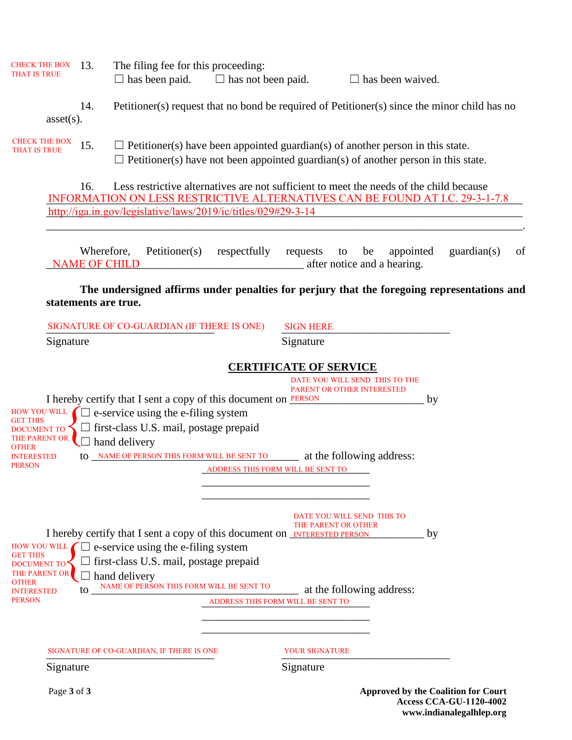| CHECK THE BOX 13.<br><b>THAT IS TRUE</b>                 |                      |                                    |                      | The filing fee for this proceeding:<br>$\Box$ has been paid.                          |  | $\Box$ has not been paid.         |           |                            |    |    |                                | $\Box$ has been waived. |                                                                                                                                                                         |    |
|----------------------------------------------------------|----------------------|------------------------------------|----------------------|---------------------------------------------------------------------------------------|--|-----------------------------------|-----------|----------------------------|----|----|--------------------------------|-------------------------|-------------------------------------------------------------------------------------------------------------------------------------------------------------------------|----|
|                                                          | $asset(s)$ .         | 14.                                |                      |                                                                                       |  |                                   |           |                            |    |    |                                |                         | Petitioner(s) request that no bond be required of Petitioner(s) since the minor child has no                                                                            |    |
| <b>CHECK THE BOX</b><br><b>THAT IS TRUE</b>              |                      | 15.                                |                      | $\Box$ Petitioner(s) have been appointed guardian(s) of another person in this state. |  |                                   |           |                            |    |    |                                |                         | $\Box$ Petitioner(s) have not been appointed guardian(s) of another person in this state.                                                                               |    |
|                                                          |                      | 16.                                |                      | http://iga.in.gov/legislative/laws/2019/ic/titles/029#29-3-14                         |  |                                   |           |                            |    |    |                                |                         | Less restrictive alternatives are not sufficient to meet the needs of the child because<br>INFORMATION ON LESS RESTRICTIVE ALTERNATIVES CAN BE FOUND AT I.C. 29-3-1-7.8 |    |
|                                                          |                      | Wherefore,<br><b>NAME OF CHILD</b> |                      | Petitioner(s)                                                                         |  | respectfully                      | requests  |                            | to | be | after notice and a hearing.    | appointed               | $\text{quardian}(s)$                                                                                                                                                    | of |
|                                                          | statements are true. |                                    |                      |                                                                                       |  |                                   |           |                            |    |    |                                |                         | The undersigned affirms under penalties for perjury that the foregoing representations and                                                                              |    |
|                                                          |                      |                                    |                      | SIGNATURE OF CO-GUARDIAN (IF THERE IS ONE)                                            |  |                                   |           | <b>SIGN HERE</b>           |    |    |                                |                         |                                                                                                                                                                         |    |
|                                                          | Signature            |                                    |                      |                                                                                       |  |                                   | Signature |                            |    |    |                                |                         |                                                                                                                                                                         |    |
|                                                          |                      |                                    |                      |                                                                                       |  | <b>CERTIFICATE OF SERVICE</b>     |           |                            |    |    |                                |                         |                                                                                                                                                                         |    |
|                                                          |                      |                                    |                      | I hereby certify that I sent a copy of this document on <b>PERSON</b>                 |  |                                   |           | PARENT OR OTHER INTERESTED |    |    | DATE YOU WILL SEND THIS TO THE | by                      |                                                                                                                                                                         |    |
|                                                          |                      |                                    |                      | $\frac{HOW \text{ YOU WILL}}{HOM}$ $\Box$ e-service using the e-filing system         |  |                                   |           |                            |    |    |                                |                         |                                                                                                                                                                         |    |
| GET THIS<br><b>DOCUMENT TO</b><br>THE PARENT OR<br>OTHER |                      |                                    | $\Box$ hand delivery | $\Box$ first-class U.S. mail, postage prepaid                                         |  |                                   |           |                            |    |    |                                |                         |                                                                                                                                                                         |    |
| <b>INTERESTED</b><br><b>PERSON</b>                       |                      |                                    |                      | to <u>NAME OF PERSON THIS FORM WILL BE SENT TO</u> at the following address:          |  |                                   |           |                            |    |    |                                |                         |                                                                                                                                                                         |    |
|                                                          |                      |                                    |                      |                                                                                       |  | ADDRESS THIS FORM WILL BE SENT TO |           |                            |    |    |                                |                         |                                                                                                                                                                         |    |
|                                                          |                      |                                    |                      |                                                                                       |  |                                   |           |                            |    |    |                                |                         |                                                                                                                                                                         |    |
|                                                          |                      |                                    |                      |                                                                                       |  |                                   |           | DATE YOU WILL SEND THIS TO |    |    |                                |                         |                                                                                                                                                                         |    |
|                                                          |                      |                                    |                      | I hereby certify that I sent a copy of this document on <b>INTERESTED PERSON</b>      |  |                                   |           | THE PARENT OR OTHER        |    |    |                                | by                      |                                                                                                                                                                         |    |
| HOW YOU WILL<br><b>GET THIS</b>                          |                      |                                    |                      | $\Box$ e-service using the e-filing system                                            |  |                                   |           |                            |    |    |                                |                         |                                                                                                                                                                         |    |
| <b>DOCUMENT TO</b><br>THE PARENT OR                      |                      |                                    | hand delivery        | first-class U.S. mail, postage prepaid                                                |  |                                   |           |                            |    |    |                                |                         |                                                                                                                                                                         |    |
| OTHER<br>INTERESTED                                      |                      | to                                 |                      | NAME OF PERSON THIS FORM WILL BE SENT TO                                              |  |                                   |           |                            |    |    | at the following address:      |                         |                                                                                                                                                                         |    |
| PERSON                                                   |                      |                                    |                      |                                                                                       |  | ADDRESS THIS FORM WILL BE SENT TO |           |                            |    |    |                                |                         |                                                                                                                                                                         |    |
|                                                          |                      |                                    |                      |                                                                                       |  |                                   |           |                            |    |    |                                |                         |                                                                                                                                                                         |    |
|                                                          |                      |                                    |                      | SIGNATURE OF CO-GUARDIAN, IF THERE IS ONE                                             |  |                                   |           | <b>YOUR SIGNATURE</b>      |    |    |                                |                         |                                                                                                                                                                         |    |
|                                                          | Signature            |                                    |                      |                                                                                       |  |                                   | Signature |                            |    |    |                                |                         |                                                                                                                                                                         |    |
|                                                          |                      |                                    |                      |                                                                                       |  |                                   |           |                            |    |    |                                |                         |                                                                                                                                                                         |    |
|                                                          | Page 3 of 3          |                                    |                      |                                                                                       |  |                                   |           |                            |    |    |                                |                         | <b>Approved by the Coalition for Court</b><br>$\triangle$ ccess $\triangle$ C $\triangle$ A <sub>-CII-1120-4002</sub>                                                   |    |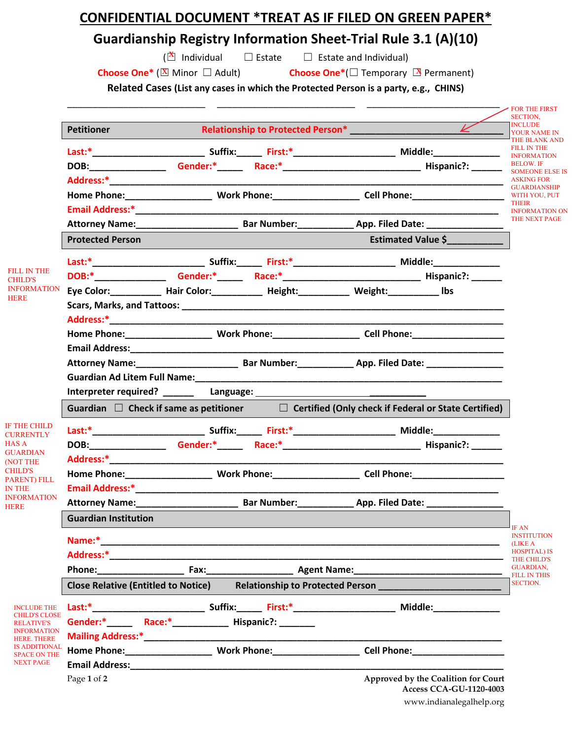# **CONFIDENTIAL DOCUMENT \*TREAT AS IF FILED ON GREEN PAPER\***

# **Guardianship Registry Information Sheet-Trial Rule 3.1 (A)(10)**

 $(\bar{\Delta}$  Individual

□ Estate □ Estate and Individual)

**Choose One\*** (**⊠** Minor □ Adult) **Choose One\*** (□ Temporary **③** Permanent) **Choose One\*** ( $\overline{\mathbb{X}}$  Minor  $\Box$  Adult)

**Related Cases (List any cases in which the Protected Person is a party, e.g., CHINS)**

|                                             |                                                                                                                |                                                                                                                |  |  |                                                                       | <b>- FOR THE FIRST</b><br>SECTION,                        |  |
|---------------------------------------------|----------------------------------------------------------------------------------------------------------------|----------------------------------------------------------------------------------------------------------------|--|--|-----------------------------------------------------------------------|-----------------------------------------------------------|--|
|                                             | <b>Petitioner</b>                                                                                              |                                                                                                                |  |  | $\overline{\mathscr{C}}$                                              | <b>INCLUDE</b><br><b>YOUR NAME IN</b>                     |  |
|                                             |                                                                                                                |                                                                                                                |  |  |                                                                       | THE BLANK AND<br><b>FILL IN THE</b><br><b>INFORMATION</b> |  |
|                                             |                                                                                                                |                                                                                                                |  |  |                                                                       | <b>BELOW. IF</b>                                          |  |
|                                             |                                                                                                                |                                                                                                                |  |  |                                                                       | <b>SOMEONE ELSE IS</b><br><b>ASKING FOR</b>               |  |
|                                             |                                                                                                                | Home Phone:____________________________Work Phone:_____________________Cell Phone:__________________           |  |  |                                                                       | <b>GUARDIANSHIP</b><br>WITH YOU, PUT                      |  |
|                                             |                                                                                                                |                                                                                                                |  |  |                                                                       | <b>THEIR</b><br><b>INFORMATION ON</b>                     |  |
|                                             |                                                                                                                | Attorney Name: Mannell Bar Number: Manneson Dep. Filed Date: Manneson Dep. Filed Date:                         |  |  |                                                                       | THE NEXT PAGE                                             |  |
|                                             | <b>Protected Person</b>                                                                                        |                                                                                                                |  |  | <b>Estimated Value \$</b>                                             |                                                           |  |
|                                             |                                                                                                                |                                                                                                                |  |  |                                                                       |                                                           |  |
| FILL IN THE<br><b>CHILD'S</b>               |                                                                                                                |                                                                                                                |  |  |                                                                       |                                                           |  |
| <b>INFORMATION</b>                          |                                                                                                                | Eye Color: ___________ Hair Color: ___________ Height: _________ Weight: _________ Ibs                         |  |  |                                                                       |                                                           |  |
| <b>HERE</b>                                 |                                                                                                                |                                                                                                                |  |  |                                                                       |                                                           |  |
|                                             |                                                                                                                |                                                                                                                |  |  |                                                                       |                                                           |  |
|                                             |                                                                                                                |                                                                                                                |  |  |                                                                       |                                                           |  |
|                                             |                                                                                                                |                                                                                                                |  |  |                                                                       |                                                           |  |
|                                             |                                                                                                                | Attorney Name: Manner Manner Bar Number: Manner App. Filed Date: Manner Manner Manner Manner Manner Manner Man |  |  |                                                                       |                                                           |  |
|                                             |                                                                                                                |                                                                                                                |  |  |                                                                       |                                                           |  |
|                                             |                                                                                                                |                                                                                                                |  |  |                                                                       |                                                           |  |
|                                             | Guardian $\Box$ Check if same as petitioner $\Box$ Certified (Only check if Federal or State Certified)        |                                                                                                                |  |  |                                                                       |                                                           |  |
| <b>IF THE CHILD</b><br><b>CURRENTLY</b>     |                                                                                                                |                                                                                                                |  |  |                                                                       |                                                           |  |
| <b>HAS A</b>                                |                                                                                                                | DOB: Gender:* Race:* Race: * Race: New York: 2008:                                                             |  |  |                                                                       |                                                           |  |
| <b>GUARDIAN</b><br>(NOT THE                 |                                                                                                                |                                                                                                                |  |  |                                                                       |                                                           |  |
| <b>CHILD'S</b><br><b>PARENT) FILL</b>       |                                                                                                                |                                                                                                                |  |  |                                                                       |                                                           |  |
| <b>IN THE</b>                               | Email Address:* The Contract of the Contract of the Contract of the Contract of the Contract of the Contract o |                                                                                                                |  |  |                                                                       |                                                           |  |
| <b>INFORMATION</b><br><b>HERE</b>           |                                                                                                                | Attorney Name: Sar Number: App. Filed Date:                                                                    |  |  |                                                                       |                                                           |  |
|                                             | <b>Guardian Institution</b>                                                                                    |                                                                                                                |  |  |                                                                       |                                                           |  |
|                                             |                                                                                                                |                                                                                                                |  |  |                                                                       | IF AN<br><b>INSTITUTION</b><br>(LIKE A                    |  |
|                                             |                                                                                                                |                                                                                                                |  |  |                                                                       | <b>HOSPITAL) IS</b><br><b>THE CHILD'S</b>                 |  |
|                                             |                                                                                                                |                                                                                                                |  |  |                                                                       | <b>GUARDIAN,</b><br><b>FILL IN THIS</b>                   |  |
|                                             |                                                                                                                | Close Relative (Entitled to Notice) Relationship to Protected Person                                           |  |  |                                                                       | <b>SECTION.</b>                                           |  |
| <b>INCLUDE THE</b>                          |                                                                                                                |                                                                                                                |  |  |                                                                       |                                                           |  |
| <b>CHILD'S CLOSE</b><br><b>RELATIVE'S</b>   |                                                                                                                |                                                                                                                |  |  |                                                                       |                                                           |  |
| <b>INFORMATION</b><br><b>HERE. THERE</b>    |                                                                                                                |                                                                                                                |  |  |                                                                       |                                                           |  |
| <b>IS ADDITIONAL</b><br><b>SPACE ON THE</b> |                                                                                                                |                                                                                                                |  |  |                                                                       |                                                           |  |
| <b>NEXT PAGE</b>                            |                                                                                                                |                                                                                                                |  |  |                                                                       |                                                           |  |
|                                             | Page 1 of 2                                                                                                    |                                                                                                                |  |  | Approved by the Coalition for Court<br><b>Access CCA-GU-1120-4003</b> |                                                           |  |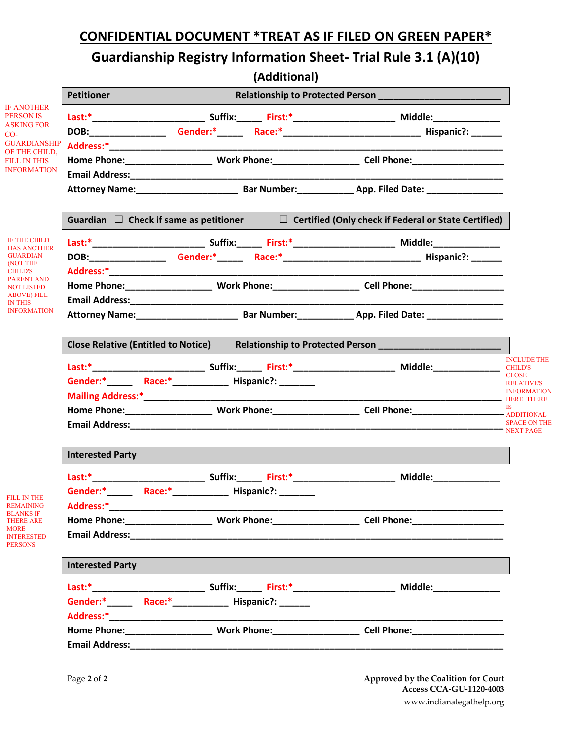# **CONFIDENTIAL DOCUMENT \*TREAT AS IF FILED ON GREEN PAPER\***

# **Guardianship Registry Information Sheet- Trial Rule 3.1 (A)(10)**

|                                                            |                                                                                                     |                                                                                                         | (Additional) |                                                                                                                                       |  |  |  |
|------------------------------------------------------------|-----------------------------------------------------------------------------------------------------|---------------------------------------------------------------------------------------------------------|--------------|---------------------------------------------------------------------------------------------------------------------------------------|--|--|--|
|                                                            | <b>Petitioner</b>                                                                                   |                                                                                                         |              |                                                                                                                                       |  |  |  |
| <b>IF ANOTHER</b><br><b>PERSON IS</b>                      |                                                                                                     |                                                                                                         |              |                                                                                                                                       |  |  |  |
| <b>ASKING FOR</b><br>$CO-$                                 |                                                                                                     |                                                                                                         |              |                                                                                                                                       |  |  |  |
| <b>GUARDIANSHIP</b>                                        |                                                                                                     |                                                                                                         |              |                                                                                                                                       |  |  |  |
| OF THE CHILD,<br><b>FILL IN THIS</b>                       |                                                                                                     |                                                                                                         |              |                                                                                                                                       |  |  |  |
| <b>INFORMATION</b>                                         |                                                                                                     |                                                                                                         |              |                                                                                                                                       |  |  |  |
|                                                            |                                                                                                     |                                                                                                         |              |                                                                                                                                       |  |  |  |
|                                                            |                                                                                                     | Guardian $\Box$ Check if same as petitioner $\Box$ Certified (Only check if Federal or State Certified) |              |                                                                                                                                       |  |  |  |
| IF THE CHILD<br><b>HAS ANOTHER</b>                         |                                                                                                     |                                                                                                         |              |                                                                                                                                       |  |  |  |
| <b>GUARDIAN</b>                                            |                                                                                                     |                                                                                                         |              |                                                                                                                                       |  |  |  |
| (NOT THE<br><b>CHILD'S</b>                                 |                                                                                                     |                                                                                                         |              |                                                                                                                                       |  |  |  |
| <b>PARENT AND</b><br><b>NOT LISTED</b>                     |                                                                                                     |                                                                                                         |              |                                                                                                                                       |  |  |  |
| <b>ABOVE) FILL</b><br><b>IN THIS</b><br><b>INFORMATION</b> |                                                                                                     |                                                                                                         |              |                                                                                                                                       |  |  |  |
|                                                            |                                                                                                     | Attorney Name: Bar Number: App. Filed Date:                                                             |              |                                                                                                                                       |  |  |  |
|                                                            | Close Relative (Entitled to Notice) Relationship to Protected Person ______________________________ |                                                                                                         |              |                                                                                                                                       |  |  |  |
|                                                            |                                                                                                     |                                                                                                         |              | <b>INCLUDE THE</b><br><b>CHILD'S</b>                                                                                                  |  |  |  |
|                                                            |                                                                                                     |                                                                                                         |              | <b>CLOSE</b><br><b>RELATIVE'S</b>                                                                                                     |  |  |  |
|                                                            |                                                                                                     |                                                                                                         |              | <b>INFORMATION</b>                                                                                                                    |  |  |  |
|                                                            |                                                                                                     |                                                                                                         |              |                                                                                                                                       |  |  |  |
|                                                            |                                                                                                     |                                                                                                         |              | <b>SPACE ON THE</b><br>Email Address: Next Page 1998 and 2009 and 2009 and 2009 and 2009 and 2009 and 2009 and 2009 and 2009 and 2009 |  |  |  |
|                                                            | <b>Interested Party</b>                                                                             |                                                                                                         |              |                                                                                                                                       |  |  |  |
|                                                            |                                                                                                     |                                                                                                         |              |                                                                                                                                       |  |  |  |
|                                                            |                                                                                                     |                                                                                                         |              |                                                                                                                                       |  |  |  |
| <b>FILL IN THE</b><br><b>REMAINING</b>                     |                                                                                                     |                                                                                                         |              |                                                                                                                                       |  |  |  |
| <b>BLANKS IF</b><br><b>THERE ARE</b>                       |                                                                                                     |                                                                                                         |              |                                                                                                                                       |  |  |  |
| <b>MORE</b><br><b>INTERESTED</b><br><b>PERSONS</b>         |                                                                                                     |                                                                                                         |              |                                                                                                                                       |  |  |  |
|                                                            | <b>Interested Party</b>                                                                             |                                                                                                         |              |                                                                                                                                       |  |  |  |
|                                                            |                                                                                                     |                                                                                                         |              |                                                                                                                                       |  |  |  |
|                                                            |                                                                                                     |                                                                                                         |              |                                                                                                                                       |  |  |  |
|                                                            |                                                                                                     |                                                                                                         |              |                                                                                                                                       |  |  |  |
|                                                            |                                                                                                     |                                                                                                         |              |                                                                                                                                       |  |  |  |
|                                                            |                                                                                                     |                                                                                                         |              |                                                                                                                                       |  |  |  |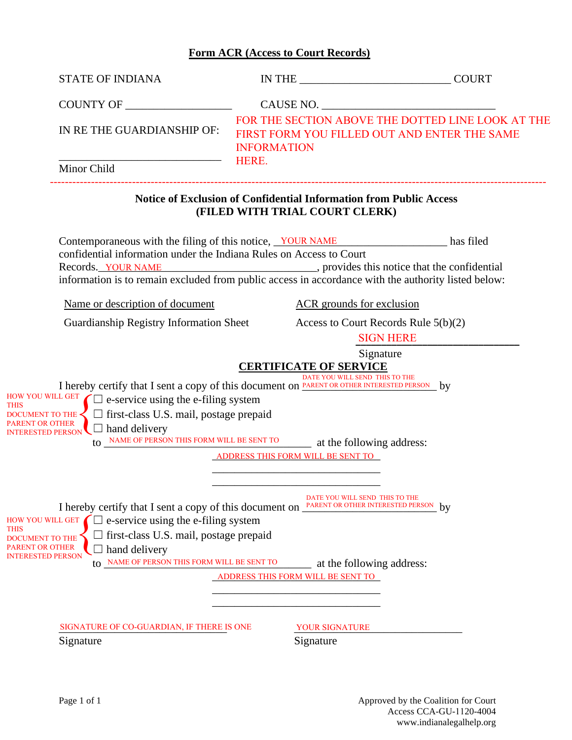## **Form ACR (Access to Court Records)**

| <b>STATE OF INDIANA</b>                                                                                                                                                                                                                                                                                                                                                     |                                                                                                                     |                                                   |
|-----------------------------------------------------------------------------------------------------------------------------------------------------------------------------------------------------------------------------------------------------------------------------------------------------------------------------------------------------------------------------|---------------------------------------------------------------------------------------------------------------------|---------------------------------------------------|
|                                                                                                                                                                                                                                                                                                                                                                             | CAUSE NO.                                                                                                           |                                                   |
| IN RETHE GUARDIANSHIP OF:                                                                                                                                                                                                                                                                                                                                                   | FIRST FORM YOU FILLED OUT AND ENTER THE SAME<br><b>INFORMATION</b>                                                  | FOR THE SECTION ABOVE THE DOTTED LINE LOOK AT THE |
| Minor Child                                                                                                                                                                                                                                                                                                                                                                 | HERE.                                                                                                               |                                                   |
|                                                                                                                                                                                                                                                                                                                                                                             | <b>Notice of Exclusion of Confidential Information from Public Access</b><br>(FILED WITH TRIAL COURT CLERK)         |                                                   |
| Contemporaneous with the filing of this notice, YOUR NAME<br>confidential information under the Indiana Rules on Access to Court<br>Records. YOUR NAME records. YOUR NAME records. YOUR NAME<br>information is to remain excluded from public access in accordance with the authority listed below:                                                                         |                                                                                                                     |                                                   |
| Name or description of document                                                                                                                                                                                                                                                                                                                                             | <b>ACR</b> grounds for exclusion                                                                                    |                                                   |
| Guardianship Registry Information Sheet Access to Court Records Rule 5(b)(2)                                                                                                                                                                                                                                                                                                |                                                                                                                     | <b>SIGN HERE</b>                                  |
| I hereby certify that I sent a copy of this document on <b>PARENT OR OTHER INTERESTED PERSON</b> by<br>$\frac{$ HOW YOU WILL GET $\bigcap$ e-service using the e-filing system<br><b>THIS</b><br>DOCUMENT TO THE $\leq$ $\Box$ first-class U.S. mail, postage prepaid<br>PARENT OR OTHER<br>$\Box$ hand delivery<br><b>INTERESTED PERSON</b>                                | DATE YOU WILL SEND THIS TO THE<br>to NAME OF PERSON THIS FORM WILL BE SENT TO at the following address:             |                                                   |
|                                                                                                                                                                                                                                                                                                                                                                             | ADDRESS THIS FORM WILL BE SENT TO                                                                                   |                                                   |
| I hereby certify that I sent a copy of this document on <b>PARENT OR OTHER INTERESTED PERSON</b> by<br>HOW YOU WILL GET $\Box$ e-service using the e-filing system<br><b>THIS</b><br>$\Box$ first-class U.S. mail, postage prepaid<br>DOCUMENT TO THE<br>PARENT OR OTHER<br>$\Box$ hand delivery<br><b>INTERESTED PERSON</b><br>to NAME OF PERSON THIS FORM WILL BE SENT TO | DATE YOU WILL SEND THIS TO THE<br><sub>emprope</sub> at the following address:<br>ADDRESS THIS FORM WILL BE SENT TO |                                                   |
| SIGNATURE OF CO-GUARDIAN, IF THERE IS ONE<br>Signature                                                                                                                                                                                                                                                                                                                      | YOUR SIGNATURE<br>Signature                                                                                         |                                                   |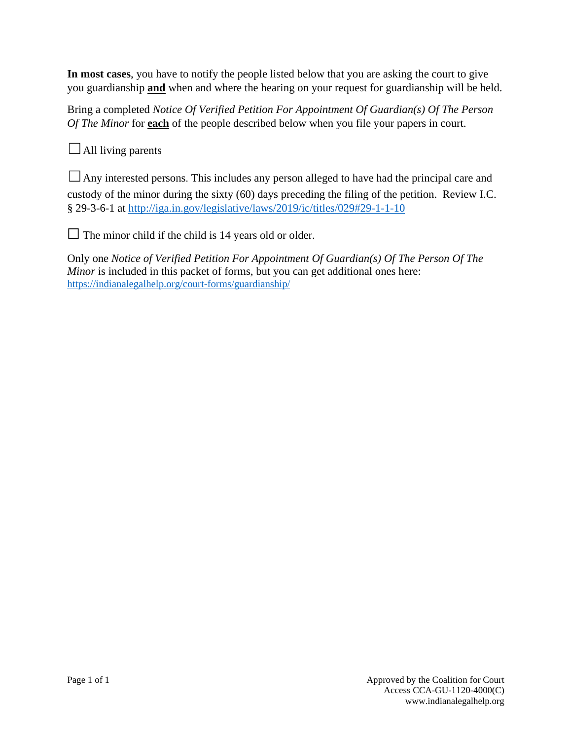**In most cases**, you have to notify the people listed below that you are asking the court to give you guardianship **and** when and where the hearing on your request for guardianship will be held.

Bring a completed *Notice Of Verified Petition For Appointment Of Guardian(s) Of The Person Of The Minor* for **each** of the people described below when you file your papers in court.

 $\Box$  All living parents

 $\Box$  Any interested persons. This includes any person alleged to have had the principal care and custody of the minor during the sixty (60) days preceding the filing of the petition. Review I.C. § 29-3-6-1 at<http://iga.in.gov/legislative/laws/2019/ic/titles/029#29-1-1-10>

 $\Box$  The minor child if the child is 14 years old or older.

Only one *Notice of Verified Petition For Appointment Of Guardian(s) Of The Person Of The Minor* is included in this packet of forms, but you can get additional ones here: <https://indianalegalhelp.org/court-forms/guardianship/>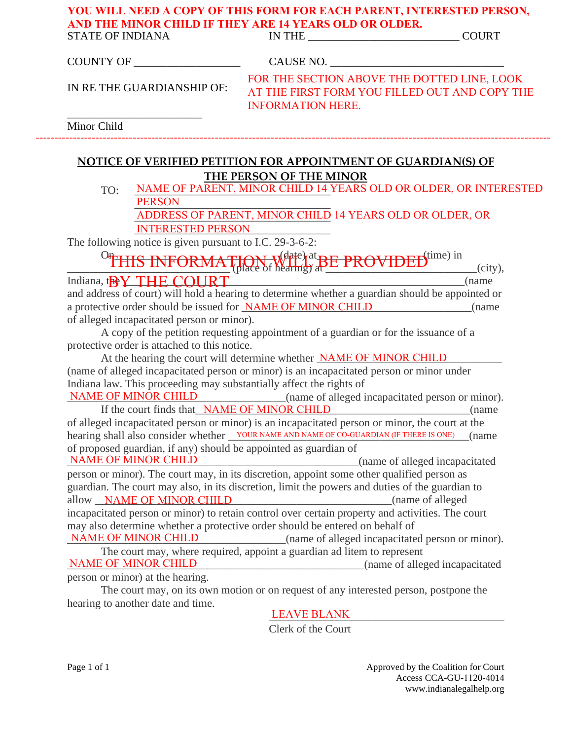# **YOU WILL NEED A COPY OF THIS FORM FOR EACH PARENT, INTERESTED PERSON, AND THE MINOR CHILD IF THEY ARE 14 YEARS OLD OR OLDER.**

| <b>STATE OF INDIANA</b>                                  |                          | IN THE $\_$                                                                                                                                        | <b>COURT</b> |
|----------------------------------------------------------|--------------------------|----------------------------------------------------------------------------------------------------------------------------------------------------|--------------|
| COUNTY OF                                                |                          |                                                                                                                                                    |              |
| IN RE THE GUARDIANSHIP OF:                               |                          | FOR THE SECTION ABOVE THE DOTTED LINE, LOOK<br>AT THE FIRST FORM YOU FILLED OUT AND COPY THE<br><b>INFORMATION HERE.</b>                           |              |
| Minor Child                                              |                          |                                                                                                                                                    |              |
|                                                          |                          |                                                                                                                                                    |              |
|                                                          |                          | <b>NOTICE OF VERIFIED PETITION FOR APPOINTMENT OF GUARDIAN(S) OF</b>                                                                               |              |
|                                                          |                          | THE PERSON OF THE MINOR<br>NAME OF PARENT, MINOR CHILD 14 YEARS OLD OR OLDER, OR INTERESTED                                                        |              |
| TO:<br><b>PERSON</b>                                     |                          |                                                                                                                                                    |              |
|                                                          |                          | ADDRESS OF PARENT, MINOR CHILD 14 YEARS OLD OR OLDER, OR                                                                                           |              |
|                                                          | <b>INTERESTED PERSON</b> |                                                                                                                                                    |              |
| The following notice is given pursuant to I.C. 29-3-6-2: |                          |                                                                                                                                                    |              |
|                                                          |                          |                                                                                                                                                    |              |
|                                                          |                          | <sup>O</sup> THIS INFORMATION Webstart BE PROVIDED <sup>time)</sup> in (city),                                                                     |              |
|                                                          |                          | Indiana, the Y THE COURT                                                                                                                           | (name        |
|                                                          |                          | and address of court) will hold a hearing to determine whether a guardian should be appointed or                                                   |              |
|                                                          |                          |                                                                                                                                                    |              |
|                                                          |                          | a protective order should be issued for <b>NAME OF MINOR CHILD</b>                                                                                 | (name        |
| of alleged incapacitated person or minor).               |                          |                                                                                                                                                    |              |
|                                                          |                          | A copy of the petition requesting appointment of a guardian or for the issuance of a                                                               |              |
| protective order is attached to this notice.             |                          |                                                                                                                                                    |              |
|                                                          |                          | At the hearing the court will determine whether <b>NAME OF MINOR CHILD</b>                                                                         |              |
|                                                          |                          | (name of alleged incapacitated person or minor) is an incapacitated person or minor under                                                          |              |
|                                                          |                          | Indiana law. This proceeding may substantially affect the rights of<br><b>NAME OF MINOR CHILD</b> (name of alleged incapacitated person or minor). |              |

If the court finds that\_NAME OF MINOR CHILD (name of alleged incapacitated person or minor) is an incapacitated person or minor, the court at the hearing shall also consider whether <u>vour name and name of co-guardian</u> (IF THERE IS ONE) (name of proposed guardian, if any) should be appointed as guardian of \_\_\_\_\_\_\_\_\_\_\_\_\_\_\_\_\_\_\_\_\_\_\_\_\_\_\_\_\_\_\_\_\_\_\_\_\_\_\_\_\_\_\_\_\_\_\_\_\_\_\_\_(name of alleged incapacitated NAME OF MINOR CHILD

person or minor). The court may, in its discretion, appoint some other qualified person as guardian. The court may also, in its discretion, limit the powers and duties of the guardian to allow **NAME OF MINOR CHILD** (name of alleged incapacitated person or minor) to retain control over certain property and activities. The court may also determine whether a protective order should be entered on behalf of NAME OF MINOR CHILD (name of alleged incapacitated person or minor).

The court may, where required, appoint a guardian ad litem to represent \_\_\_\_\_\_\_\_\_\_\_\_\_\_\_\_\_\_\_\_\_\_\_\_\_\_\_\_\_\_\_\_\_\_\_\_\_\_\_\_\_\_\_\_\_\_\_\_\_\_\_\_\_(name of alleged incapacitated person or minor) at the hearing. NAME OF MINOR CHILD

The court may, on its own motion or on request of any interested person, postpone the hearing to another date and time.

# \_\_\_\_\_\_\_\_\_\_\_\_\_\_\_\_\_\_\_\_\_\_\_\_\_\_\_\_\_\_\_\_\_\_\_\_\_\_\_\_\_\_ LEAVE BLANK

Clerk of the Court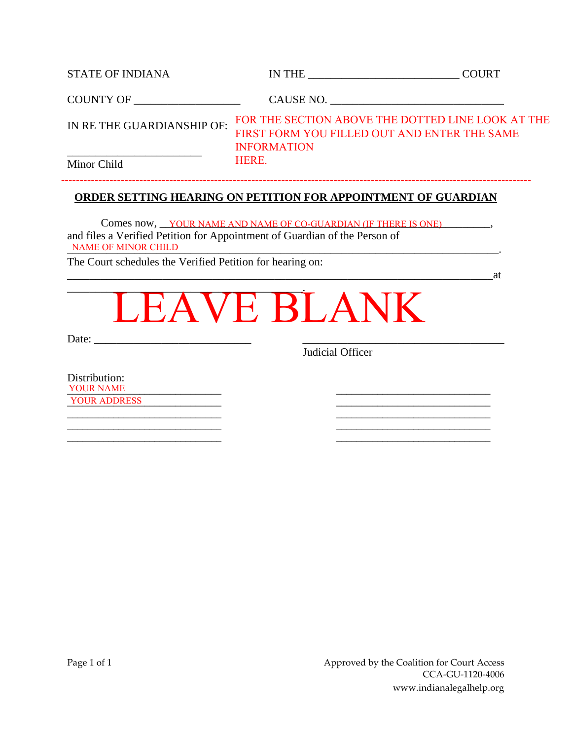| <b>STATE OF INDIANA</b>        |                                                                    | <b>COURT</b>                                      |
|--------------------------------|--------------------------------------------------------------------|---------------------------------------------------|
| COUNTY OF ____________________ |                                                                    | CAUSE NO.                                         |
| IN RE THE GUARDIANSHIP OF:     | FIRST FORM YOU FILLED OUT AND ENTER THE SAME<br><b>INFORMATION</b> | FOR THE SECTION ABOVE THE DOTTED LINE LOOK AT THE |
| Minor Child                    | <b>HERE.</b>                                                       |                                                   |

#### **ORDER SETTING HEARING ON PETITION FOR APPOINTMENT OF GUARDIAN**

------------------------------------------------------------------------------------------------------------------------------

 $\qquad \qquad \text{at}$ 

Comes now, <u>YOUR NAME AND NAME OF CO-GUARDIAN</u> (IF THERE IS ONE)  $\ldots$ , and files a Verified Petition for Appointment of Guardian of the Person of NAME OF MINOR CHILD

The Court schedules the Verified Petition for hearing on:

\_\_\_\_\_\_\_\_\_\_\_\_\_\_\_\_\_\_\_\_\_\_\_\_\_\_\_\_\_\_\_\_\_\_\_\_\_\_\_\_\_\_. LEAVE BLANK

\_\_\_\_\_\_\_\_\_\_\_\_\_\_\_\_\_\_\_\_\_\_\_\_\_\_\_\_\_\_ \_\_\_\_\_\_\_\_\_\_\_\_\_\_\_\_\_\_\_\_\_\_\_\_\_\_\_\_\_\_ \_\_\_\_\_\_\_\_\_\_\_\_\_\_\_\_\_\_\_\_\_\_\_\_\_\_\_\_\_\_ \_\_\_\_\_\_\_\_\_\_\_\_\_\_\_\_\_\_\_\_\_\_\_\_\_\_\_\_\_\_ \_\_\_\_\_\_\_\_\_\_\_\_\_\_\_\_\_\_\_\_\_\_\_\_\_\_\_\_\_\_ \_\_\_\_\_\_\_\_\_\_\_\_\_\_\_\_\_\_\_\_\_\_\_\_\_\_\_\_\_\_

Date:

Judicial Officer

Distribution: **YOUR NAME** \_\_\_\_\_\_\_\_\_\_\_\_\_\_\_\_\_\_\_\_\_\_\_\_\_\_\_\_\_\_ \_\_\_\_\_\_\_\_\_\_\_\_\_\_\_\_\_\_\_\_\_\_\_\_\_\_\_\_\_\_ YOUR ADDRESS

Page 1 of 1 Approved by the Coalition for Court Access CCA-GU-1120-4006 www.indianalegalhelp.org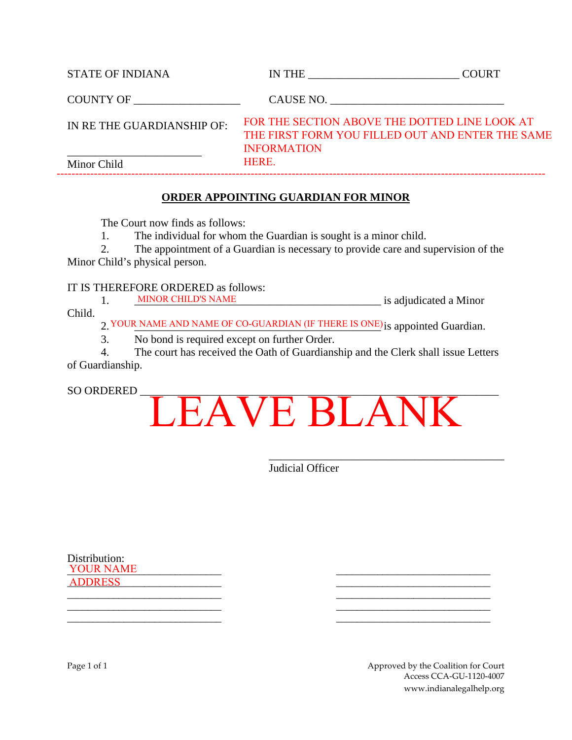| <b>STATE OF INDIANA</b>   | IN THE                                                              | <b>COURT</b>                                     |
|---------------------------|---------------------------------------------------------------------|--------------------------------------------------|
| COUNTY OF                 | CAUSE NO.                                                           |                                                  |
| IN RETHE GUARDIANSHIP OF: | FOR THE SECTION ABOVE THE DOTTED LINE LOOK AT<br><b>INFORMATION</b> | THE FIRST FORM YOU FILLED OUT AND ENTER THE SAME |
| Minor Child               | <b>HERE.</b>                                                        |                                                  |

## **ORDER APPOINTING GUARDIAN FOR MINOR**

The Court now finds as follows:

1. The individual for whom the Guardian is sought is a minor child.

2. The appointment of a Guardian is necessary to provide care and supervision of the Minor Child's physical person.

#### IT IS THEREFORE ORDERED as follows:

1. MINOR CHILD'S NAME is adjudicated a Minor Child.

2. YOUR NAME AND NAME OF CO-GUARDIAN (IF THERE IS ONE) is appointed Guardian.

3. No bond is required except on further Order.

4. The court has received the Oath of Guardianship and the Clerk shall issue Letters of Guardianship.

# SO ORDERED LEAVE BLANK

\_\_\_\_\_\_\_\_\_\_\_\_\_\_\_\_\_\_\_\_\_\_\_\_\_\_\_\_\_\_\_\_\_\_\_\_\_\_\_\_\_\_ Judicial Officer

\_\_\_\_\_\_\_\_\_\_\_\_\_\_\_\_\_\_\_\_\_\_\_\_\_\_\_\_\_\_ \_\_\_\_\_\_\_\_\_\_\_\_\_\_\_\_\_\_\_\_\_\_\_\_\_\_\_\_\_\_ \_\_\_\_\_\_\_\_\_\_\_\_\_\_\_\_\_\_\_\_\_\_\_\_\_\_\_\_\_\_ \_\_\_\_\_\_\_\_\_\_\_\_\_\_\_\_\_\_\_\_\_\_\_\_\_\_\_\_\_\_

Distribution:  $\_YOUR\; NAME$ \_\_\_\_\_\_\_\_\_\_\_\_\_\_\_\_\_\_\_\_\_\_\_\_\_\_\_\_\_\_ \_\_\_\_\_\_\_\_\_\_\_\_\_\_\_\_\_\_\_\_\_\_\_\_\_\_\_\_\_\_ ADDRESS\_\_\_\_\_\_\_\_\_\_\_\_\_\_\_\_\_\_\_\_\_\_\_\_\_\_\_\_\_\_ \_\_\_\_\_\_\_\_\_\_\_\_\_\_\_\_\_\_\_\_\_\_\_\_\_\_\_\_\_\_

Page 1 of 1 Approved by the Coalition for Court Access CCA-GU-1120-4007 www.indianalegalhelp.org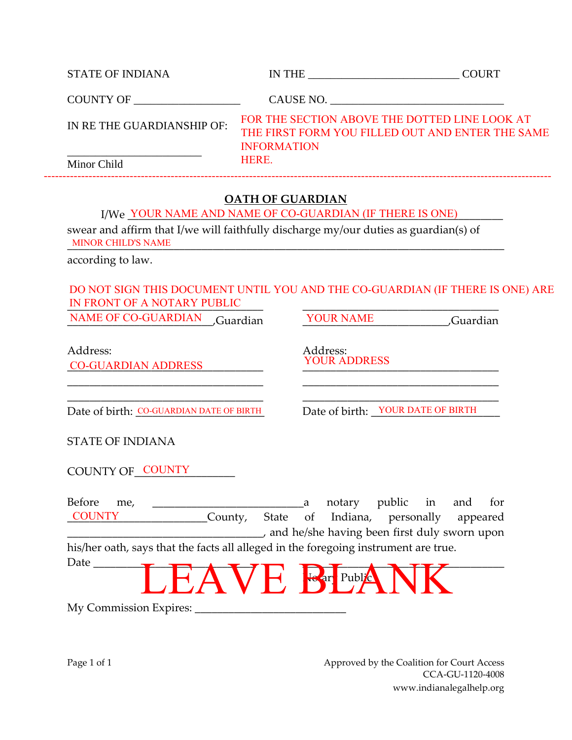| <b>STATE OF INDIANA</b>   | IN THE                                                                                                                  | <b>COURT</b> |
|---------------------------|-------------------------------------------------------------------------------------------------------------------------|--------------|
| <b>COUNTY OF</b>          | CAUSE NO.                                                                                                               |              |
| IN RETHE GUARDIANSHIP OF: | FOR THE SECTION ABOVE THE DOTTED LINE LOOK AT<br>THE FIRST FORM YOU FILLED OUT AND ENTER THE SAME<br><b>INFORMATION</b> |              |
| Minor Child               | <b>HERE.</b>                                                                                                            |              |
|                           |                                                                                                                         |              |

## **OATH OF GUARDIAN**

|  | I/We_YOUR NAME AND NAME OF CO-GUARDIAN (IF THERE IS ONE) |  |  |  |
|--|----------------------------------------------------------|--|--|--|
|--|----------------------------------------------------------|--|--|--|

swear and affirm that I/we will faithfully discharge my/our duties as guardian(s) of \_\_\_\_\_\_\_\_\_\_\_\_\_\_\_\_\_\_\_\_\_\_\_\_\_\_\_\_\_\_\_\_\_\_\_\_\_\_\_\_\_\_\_\_\_\_\_\_\_\_\_\_\_\_\_\_\_\_\_\_\_\_\_\_\_\_\_\_\_\_\_\_\_\_\_\_\_\_ MINOR CHILD'S NAME

according to law.

# \_\_\_\_\_\_\_\_\_\_\_\_\_\_\_\_\_\_\_\_\_\_\_\_\_\_\_\_\_\_\_\_\_\_\_ \_\_\_\_\_\_\_\_\_\_\_\_\_\_\_\_\_\_\_\_\_\_\_\_\_\_\_\_\_\_\_\_\_\_\_ IN FRONT OF A NOTARY PUBLIC DO NOT SIGN THIS DOCUMENT UNTIL YOU AND THE CO-GUARDIAN (IF THERE IS ONE) ARE

| <b>NAME OF CO-GUARDIAN</b>             | Guardian,                                                                           |   | <b>YOUR NAME</b>                                                                                                      |  | Guardian, |     |
|----------------------------------------|-------------------------------------------------------------------------------------|---|-----------------------------------------------------------------------------------------------------------------------|--|-----------|-----|
| Address:<br><b>CO-GUARDIAN ADDRESS</b> |                                                                                     |   | Address:<br><b>YOUR ADDRESS</b>                                                                                       |  |           |     |
|                                        | Date of birth: CO-GUARDIAN DATE OF BIRTH                                            |   | Date of birth: YOUR DATE OF BIRTH                                                                                     |  |           |     |
| <b>STATE OF INDIANA</b>                |                                                                                     |   |                                                                                                                       |  |           |     |
| COUNTY OF COUNTY                       |                                                                                     |   |                                                                                                                       |  |           |     |
| <b>Before</b><br>me,<br><b>COUNTY</b>  |                                                                                     | a | notary public in and<br>County, State of Indiana, personally appeared<br>and he/she having been first duly sworn upon |  |           | for |
|                                        | his/her oath, says that the facts all alleged in the foregoing instrument are true. |   |                                                                                                                       |  |           |     |
| Date                                   | <b>HAVE</b> For Public                                                              |   |                                                                                                                       |  |           |     |
| My Commission Expires:                 |                                                                                     |   |                                                                                                                       |  |           |     |